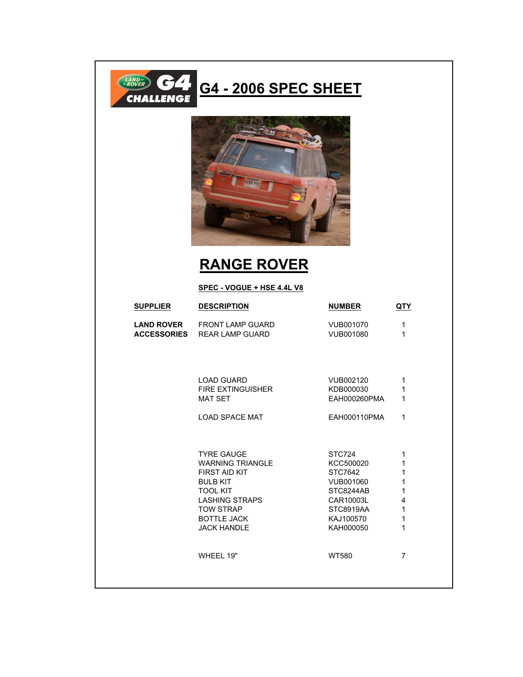

## **G4 - 2006 SPEC SHEET**



## **RANGE ROVER**

## **SPEC - VOGUE + HSE 4.4L V8**

| <b>SUPPLIER</b>                         | <b>DESCRIPTION</b>                                                                                                                                                                                  | <b>NUMBER</b>                                                                                                       | <u>QTY</u>                                                      |
|-----------------------------------------|-----------------------------------------------------------------------------------------------------------------------------------------------------------------------------------------------------|---------------------------------------------------------------------------------------------------------------------|-----------------------------------------------------------------|
| <b>LAND ROVER</b><br><b>ACCESSORIES</b> | <b>FRONT LAMP GUARD</b><br>REAR LAMP GUARD                                                                                                                                                          | VUB001070<br>VUB001080                                                                                              | 1<br>1                                                          |
|                                         | <b>LOAD GUARD</b><br>FIRE EXTINGUISHER<br><b>MAT SET</b><br><b>LOAD SPACE MAT</b>                                                                                                                   | VUB002120<br>KDB000030<br>EAH000260PMA<br>EAH000110PMA                                                              | 1<br>1<br>1<br>1                                                |
|                                         | <b>TYRE GAUGE</b><br><b>WARNING TRIANGLE</b><br><b>FIRST AID KIT</b><br><b>BULB KIT</b><br><b>TOOL KIT</b><br><b>LASHING STRAPS</b><br><b>TOW STRAP</b><br><b>BOTTLE JACK</b><br><b>JACK HANDLE</b> | <b>STC724</b><br>KCC500020<br>STC7642<br>VUB001060<br>STC8244AB<br>CAR10003L<br>STC8919AA<br>KAJ100570<br>KAH000050 | 1<br>$\mathbf{1}$<br>1<br>1<br>1<br>4<br>$\mathbf{1}$<br>1<br>1 |
|                                         | WHEEL 19"                                                                                                                                                                                           | <b>WT580</b>                                                                                                        | $\overline{7}$                                                  |